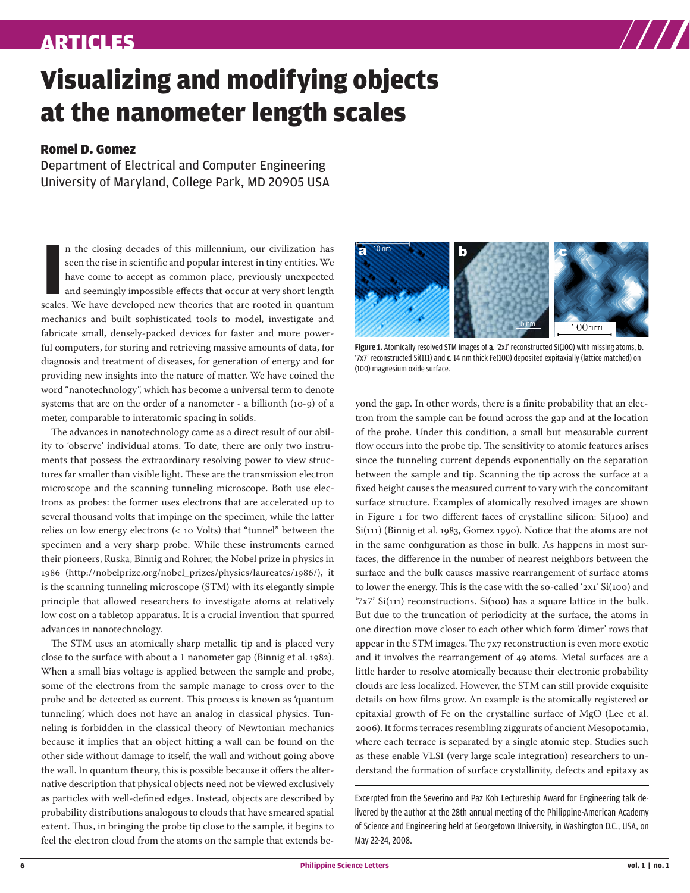## ARTICLES

# Visualizing and modifying objects at the nanometer length scales

### Romel D. Gomez

Department of Electrical and Computer Engineering University of Maryland, College Park, MD 20905 USA

In the closing decades of this millennium, our civilization has seen the rise in scientific and popular interest in tiny entities. We have come to accept as common place, previously unexpected and seemingly impossible effe n the closing decades of this millennium, our civilization has seen the rise in scientific and popular interest in tiny entities. We have come to accept as common place, previously unexpected and seemingly impossible effects that occur at very short length mechanics and built sophisticated tools to model, investigate and fabricate small, densely-packed devices for faster and more powerful computers, for storing and retrieving massive amounts of data, for diagnosis and treatment of diseases, for generation of energy and for providing new insights into the nature of matter. We have coined the word "nanotechnology", which has become a universal term to denote systems that are on the order of a nanometer - a billionth  $(10-9)$  of a meter, comparable to interatomic spacing in solids.

The advances in nanotechnology came as a direct result of our ability to 'observe' individual atoms. To date, there are only two instruments that possess the extraordinary resolving power to view structures far smaller than visible light. These are the transmission electron microscope and the scanning tunneling microscope. Both use electrons as probes: the former uses electrons that are accelerated up to several thousand volts that impinge on the specimen, while the latter relies on low energy electrons  $( $10$  Volts) that "tunnel" between the$ specimen and a very sharp probe. While these instruments earned their pioneers, Ruska, Binnig and Rohrer, the Nobel prize in physics in (http://nobelprize.org/nobel\_prizes/physics/laureates//), it is the scanning tunneling microscope (STM) with its elegantly simple principle that allowed researchers to investigate atoms at relatively low cost on a tabletop apparatus. It is a crucial invention that spurred advances in nanotechnology.

The STM uses an atomically sharp metallic tip and is placed very close to the surface with about a 1 nanometer gap (Binnig et al. 1982). When a small bias voltage is applied between the sample and probe, some of the electrons from the sample manage to cross over to the probe and be detected as current. This process is known as 'quantum tunneling', which does not have an analog in classical physics. Tunneling is forbidden in the classical theory of Newtonian mechanics because it implies that an object hitting a wall can be found on the other side without damage to itself, the wall and without going above the wall. In quantum theory, this is possible because it offers the alternative description that physical objects need not be viewed exclusively as particles with well-defined edges. Instead, objects are described by probability distributions analogous to clouds that have smeared spatial extent. Thus, in bringing the probe tip close to the sample, it begins to feel the electron cloud from the atoms on the sample that extends be-



**Figure 1.** Atomically resolved STM images of **a**. '2x1' reconstructed Si(100) with missing atoms, **b**. '7x7' reconstructed Si(111) and **c**. 14 nm thick Fe(100) deposited expitaxially (lattice matched) on (100) magnesium oxide surface.

yond the gap. In other words, there is a finite probability that an electron from the sample can be found across the gap and at the location of the probe. Under this condition, a small but measurable current flow occurs into the probe tip. The sensitivity to atomic features arises since the tunneling current depends exponentially on the separation between the sample and tip. Scanning the tip across the surface at a fixed height causes the measured current to vary with the concomitant surface structure. Examples of atomically resolved images are shown in Figure  $_1$  for two different faces of crystalline silicon: Si(100) and  $Si(111)$  (Binnig et al. 1983, Gomez 1990). Notice that the atoms are not in the same configuration as those in bulk. As happens in most surfaces, the difference in the number of nearest neighbors between the surface and the bulk causes massive rearrangement of surface atoms to lower the energy. This is the case with the so-called ' $2xi'$  Si(100) and '7x7' Si(111) reconstructions. Si(100) has a square lattice in the bulk. But due to the truncation of periodicity at the surface, the atoms in one direction move closer to each other which form 'dimer' rows that appear in the STM images. The 7x7 reconstruction is even more exotic and it involves the rearrangement of 49 atoms. Metal surfaces are a little harder to resolve atomically because their electronic probability clouds are less localized. However, the STM can still provide exquisite details on how films grow. An example is the atomically registered or epitaxial growth of Fe on the crystalline surface of MgO (Lee et al. ). It forms terraces resembling ziggurats of ancient Mesopotamia, where each terrace is separated by a single atomic step. Studies such as these enable VLSI (very large scale integration) researchers to understand the formation of surface crystallinity, defects and epitaxy as

Excerpted from the Severino and Paz Koh Lectureship Award for Engineering talk delivered by the author at the 28th annual meeting of the Philippine-American Academy of Science and Engineering held at Georgetown University, in Washington D.C., USA, on May 22-24, 2008.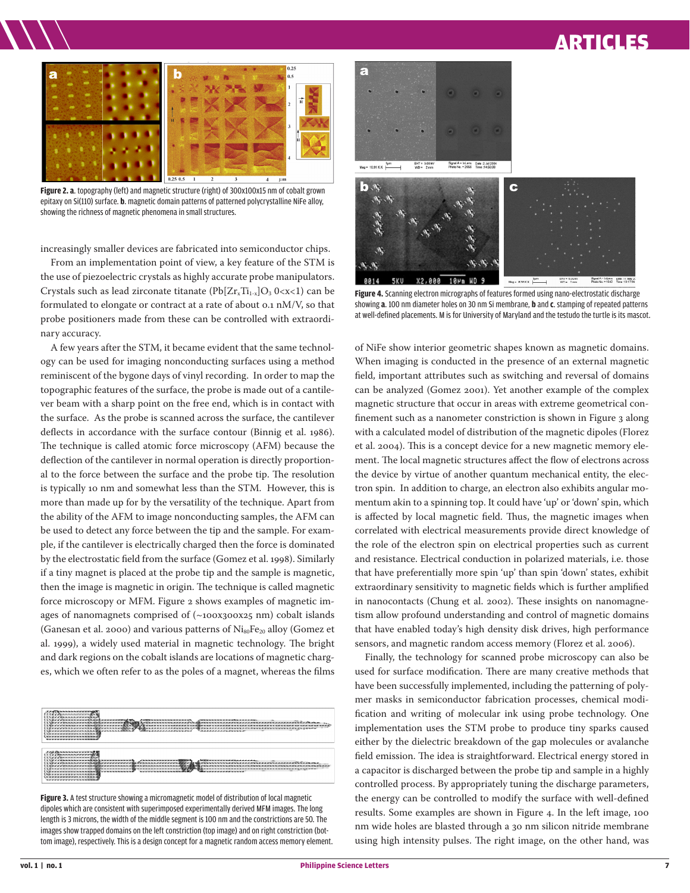# ARTICLES



**Figure 2. a**. topography (left) and magnetic structure (right) of 300x100x15 nm of cobalt grown epitaxy on Si(110) surface. **b**. magnetic domain patterns of patterned polycrystalline NiFe alloy, showing the richness of magnetic phenomena in small structures.

increasingly smaller devices are fabricated into semiconductor chips.

From an implementation point of view, a key feature of the STM is the use of piezoelectric crystals as highly accurate probe manipulators. Crystals such as lead zirconate titanate  $(Pb[Zr_xTi_{1-x}]O_3$  0<x<1) can be formulated to elongate or contract at a rate of about 0.1 nM/V, so that probe positioners made from these can be controlled with extraordinary accuracy.

A few years after the STM, it became evident that the same technology can be used for imaging nonconducting surfaces using a method reminiscent of the bygone days of vinyl recording. In order to map the topographic features of the surface, the probe is made out of a cantilever beam with a sharp point on the free end, which is in contact with the surface. As the probe is scanned across the surface, the cantilever deflects in accordance with the surface contour (Binnig et al. 1986). The technique is called atomic force microscopy (AFM) because the deflection of the cantilever in normal operation is directly proportional to the force between the surface and the probe tip. The resolution is typically 10 nm and somewhat less than the STM. However, this is more than made up for by the versatility of the technique. Apart from the ability of the AFM to image nonconducting samples, the AFM can be used to detect any force between the tip and the sample. For example, if the cantilever is electrically charged then the force is dominated by the electrostatic field from the surface (Gomez et al. 1998). Similarly if a tiny magnet is placed at the probe tip and the sample is magnetic, then the image is magnetic in origin. The technique is called magnetic force microscopy or MFM. Figure 2 shows examples of magnetic images of nanomagnets comprised of  $(\sim100x300x25$  nm) cobalt islands (Ganesan et al. 2000) and various patterns of  $Ni_{80}Fe_{20}$  alloy (Gomez et al. 1999), a widely used material in magnetic technology. The bright and dark regions on the cobalt islands are locations of magnetic charges, which we often refer to as the poles of a magnet, whereas the films



**Figure 3.** A test structure showing a micromagnetic model of distribution of local magnetic dipoles which are consistent with superimposed experimentally derived MFM images. The long length is 3 microns, the width of the middle segment is 100 nm and the constrictions are 50. The images show trapped domains on the left constriction (top image) and on right constriction (bottom image), respectively. This is a design concept for a magnetic random access memory element.



**Figure 4.** Scanning electron micrographs of features formed using nano-electrostatic discharge showing **a**. 100 nm diameter holes on 30 nm Si membrane, **b** and **c**. stamping of repeated patterns at well-defined placements. M is for University of Maryland and the testudo the turtle is its mascot.

of NiFe show interior geometric shapes known as magnetic domains. When imaging is conducted in the presence of an external magnetic field, important attributes such as switching and reversal of domains can be analyzed (Gomez 2001). Yet another example of the complex magnetic structure that occur in areas with extreme geometrical confinement such as a nanometer constriction is shown in Figure 3 along with a calculated model of distribution of the magnetic dipoles (Florez et al. 2004). This is a concept device for a new magnetic memory element. The local magnetic structures affect the flow of electrons across the device by virtue of another quantum mechanical entity, the electron spin. In addition to charge, an electron also exhibits angular momentum akin to a spinning top. It could have 'up' or 'down' spin, which is affected by local magnetic field. Thus, the magnetic images when correlated with electrical measurements provide direct knowledge of the role of the electron spin on electrical properties such as current and resistance. Electrical conduction in polarized materials, i.e. those that have preferentially more spin 'up' than spin 'down' states, exhibit extraordinary sensitivity to magnetic fields which is further amplified in nanocontacts (Chung et al. 2002). These insights on nanomagnetism allow profound understanding and control of magnetic domains that have enabled today's high density disk drives, high performance sensors, and magnetic random access memory (Florez et al. 2006).

Finally, the technology for scanned probe microscopy can also be used for surface modification. There are many creative methods that have been successfully implemented, including the patterning of polymer masks in semiconductor fabrication processes, chemical modification and writing of molecular ink using probe technology. One implementation uses the STM probe to produce tiny sparks caused either by the dielectric breakdown of the gap molecules or avalanche field emission. The idea is straightforward. Electrical energy stored in a capacitor is discharged between the probe tip and sample in a highly controlled process. By appropriately tuning the discharge parameters, the energy can be controlled to modify the surface with well-defined results. Some examples are shown in Figure 4. In the left image, 100 nm wide holes are blasted through a 30 nm silicon nitride membrane using high intensity pulses. The right image, on the other hand, was